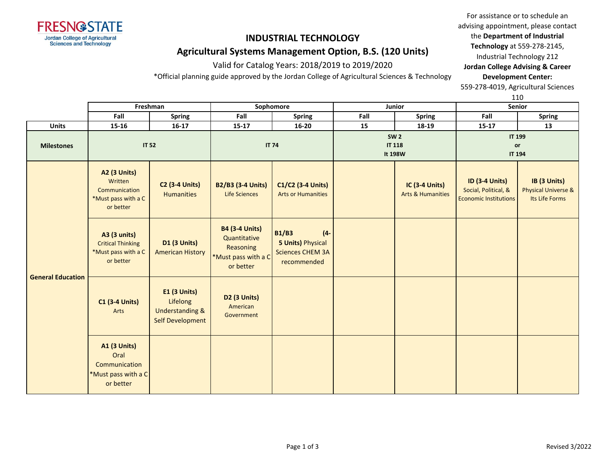

### **INDUSTRIAL TECHNOLOGY**

## **Agricultural Systems Management Option, B.S. (120 Units)**

Valid for Catalog Years: 2018/2019 to 2019/2020

\*Official planning guide approved by the Jordan College of Agricultural Sciences & Technology

For assistance or to schedule an advising appointment, please contact the **Department of Industrial Technology** at 559-278-2145, Industrial Technology 212 **Jordan College Advising & Career Development Center:**

559-278-4019, Agricultural Sciences

110

|                          | Freshman                                                                            |                                                                                          | Sophomore                                                                              |                                                                                              |                                         | Junior                                                | Senior                                                                        |                                                                  |
|--------------------------|-------------------------------------------------------------------------------------|------------------------------------------------------------------------------------------|----------------------------------------------------------------------------------------|----------------------------------------------------------------------------------------------|-----------------------------------------|-------------------------------------------------------|-------------------------------------------------------------------------------|------------------------------------------------------------------|
|                          | Fall                                                                                | Fall<br>Fall<br><b>Spring</b><br><b>Spring</b>                                           |                                                                                        |                                                                                              | <b>Spring</b>                           | Fall                                                  | <b>Spring</b>                                                                 |                                                                  |
| <b>Units</b>             | 15-16                                                                               | $16 - 17$                                                                                | $15 - 17$                                                                              | $16 - 20$                                                                                    | 15                                      | 18-19                                                 | $15 - 17$                                                                     | 13                                                               |
| <b>Milestones</b>        | <b>IT 52</b>                                                                        |                                                                                          | <b>IT 74</b>                                                                           |                                                                                              | <b>SW 2</b><br><b>IT 118</b><br>It 198W |                                                       | <b>IT 199</b><br>or<br><b>IT 194</b>                                          |                                                                  |
| <b>General Education</b> | <b>A2 (3 Units)</b><br>Written<br>Communication<br>*Must pass with a C<br>or better | <b>C2 (3-4 Units)</b><br><b>Humanities</b>                                               | <b>B2/B3 (3-4 Units)</b><br><b>Life Sciences</b>                                       | C1/C2 (3-4 Units)<br><b>Arts or Humanities</b>                                               |                                         | <b>IC (3-4 Units)</b><br><b>Arts &amp; Humanities</b> | <b>ID (3-4 Units)</b><br>Social, Political, &<br><b>Economic Institutions</b> | IB (3 Units)<br><b>Physical Universe &amp;</b><br>Its Life Forms |
|                          | <b>A3 (3 units)</b><br><b>Critical Thinking</b><br>*Must pass with a C<br>or better | <b>D1 (3 Units)</b><br><b>American History</b>                                           | <b>B4 (3-4 Units)</b><br>Quantitative<br>Reasoning<br>*Must pass with a C<br>or better | <b>B1/B3</b><br>$(4 -$<br><b>5 Units) Physical</b><br><b>Sciences CHEM 3A</b><br>recommended |                                         |                                                       |                                                                               |                                                                  |
|                          | <b>C1 (3-4 Units)</b><br>Arts                                                       | <b>E1 (3 Units)</b><br>Lifelong<br><b>Understanding &amp;</b><br><b>Self Development</b> | <b>D2 (3 Units)</b><br>American<br>Government                                          |                                                                                              |                                         |                                                       |                                                                               |                                                                  |
|                          | <b>A1 (3 Units)</b><br>Oral<br>Communication<br>*Must pass with a C<br>or better    |                                                                                          |                                                                                        |                                                                                              |                                         |                                                       |                                                                               |                                                                  |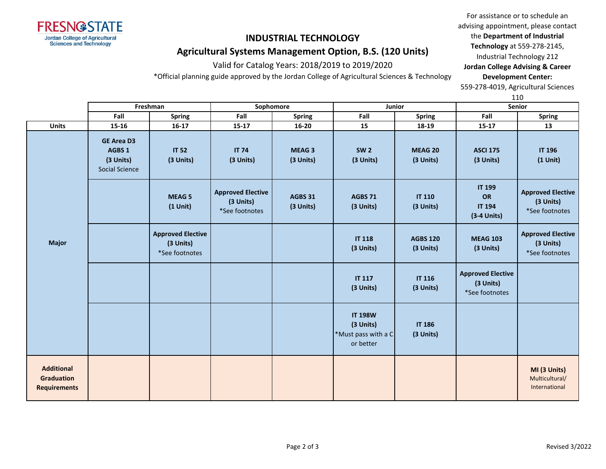

# **INDUSTRIAL TECHNOLOGY**

# **Agricultural Systems Management Option, B.S. (120 Units)**

Valid for Catalog Years: 2018/2019 to 2019/2020

\*Official planning guide approved by the Jordan College of Agricultural Sciences & Technology

For assistance or to schedule an advising appointment, please contact the **Department of Industrial Technology** at 559-278-2145, Industrial Technology 212 **Jordan College Advising & Career Development Center:**

559-278-4019, Agricultural Sciences

110

|                                                               | Freshman                                                                     |                                                         | Sophomore                                               |                           |                                                                 | Junior                       | Senior                                                  |                                                         |
|---------------------------------------------------------------|------------------------------------------------------------------------------|---------------------------------------------------------|---------------------------------------------------------|---------------------------|-----------------------------------------------------------------|------------------------------|---------------------------------------------------------|---------------------------------------------------------|
|                                                               | Fall                                                                         | Spring                                                  | Fall                                                    | <b>Spring</b>             | Fall                                                            | <b>Spring</b>                | Fall                                                    | <b>Spring</b>                                           |
| <b>Units</b>                                                  | 15-16                                                                        | $16-17$                                                 | $15 - 17$                                               | $16 - 20$                 | 15                                                              | 18-19                        | $15 - 17$                                               | 13                                                      |
| <b>Major</b>                                                  | <b>GE Area D3</b><br>AGBS <sub>1</sub><br>(3 Units)<br><b>Social Science</b> | <b>IT 52</b><br>(3 Units)                               | <b>IT 74</b><br>(3 Units)                               | <b>MEAG3</b><br>(3 Units) | <b>SW 2</b><br>(3 Units)                                        | MEAG 20<br>(3 Units)         | <b>ASCI 175</b><br>(3 Units)                            | <b>IT 196</b><br>$(1$ Unit)                             |
|                                                               |                                                                              | <b>MEAG 5</b><br>$(1$ Unit)                             | <b>Approved Elective</b><br>(3 Units)<br>*See footnotes | AGBS 31<br>(3 Units)      | <b>AGBS 71</b><br>(3 Units)                                     | <b>IT 110</b><br>(3 Units)   | <b>IT 199</b><br>OR<br><b>IT 194</b><br>$(3-4$ Units)   | <b>Approved Elective</b><br>(3 Units)<br>*See footnotes |
|                                                               |                                                                              | <b>Approved Elective</b><br>(3 Units)<br>*See footnotes |                                                         |                           | <b>IT 118</b><br>(3 Units)                                      | <b>AGBS 120</b><br>(3 Units) | <b>MEAG 103</b><br>(3 Units)                            | <b>Approved Elective</b><br>(3 Units)<br>*See footnotes |
|                                                               |                                                                              |                                                         |                                                         |                           | <b>IT 117</b><br>(3 Units)                                      | <b>IT 116</b><br>(3 Units)   | <b>Approved Elective</b><br>(3 Units)<br>*See footnotes |                                                         |
|                                                               |                                                                              |                                                         |                                                         |                           | <b>IT 198W</b><br>(3 Units)<br>*Must pass with a C<br>or better | <b>IT 186</b><br>(3 Units)   |                                                         |                                                         |
| <b>Additional</b><br><b>Graduation</b><br><b>Requirements</b> |                                                                              |                                                         |                                                         |                           |                                                                 |                              |                                                         | MI (3 Units)<br>Multicultural/<br>International         |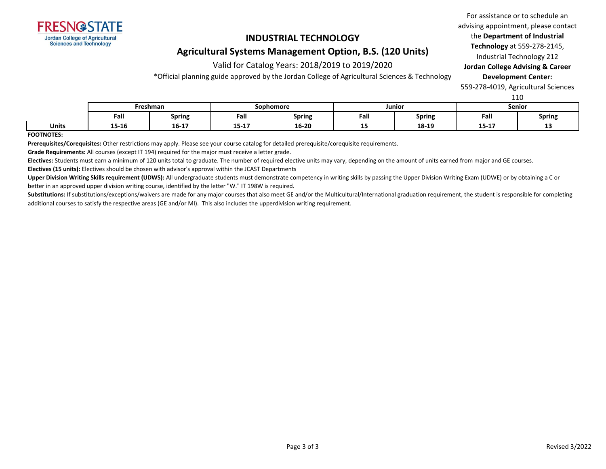

### **INDUSTRIAL TECHNOLOGY**

### **Agricultural Systems Management Option, B.S. (120 Units)**

Valid for Catalog Years: 2018/2019 to 2019/2020

\*Official planning guide approved by the Jordan College of Agricultural Sciences & Technology

For assistance or to schedule an advising appointment, please contact the **Department of Industrial Technology** at 559-278-2145, Industrial Technology 212 **Jordan College Advising & Career** 

**Development Center:**

559-278-4019, Agricultural Sciences

110

|              | Freshman                          |                             | Sophomore        |        | Junior |               | Senior           |        |
|--------------|-----------------------------------|-----------------------------|------------------|--------|--------|---------------|------------------|--------|
|              | Fall                              | <b>Spring</b>               | Fall             | Spring | Fall   | <b>Spring</b> | Fall             | Spring |
| <b>Units</b> | $\overline{\phantom{a}}$<br>15-10 | . <del>.</del><br>$16 - 17$ | $A = A$<br>13-L. | 16-20  | --     | 18-19         | 4.5.4.7<br>12-TY | --     |

#### **FOOTNOTES:**

**Prerequisites/Corequisites:** Other restrictions may apply. Please see your course catalog for detailed prerequisite/corequisite requirements.

**Grade Requirements:** All courses (except IT 194) required for the major must receive a letter grade.

**Electives:** Students must earn a minimum of 120 units total to graduate. The number of required elective units may vary, depending on the amount of units earned from major and GE courses.

**Electives (15 units):** Electives should be chosen with advisor's approval within the JCAST Departments

**Upper Division Writing Skills requirement (UDWS):** All undergraduate students must demonstrate competency in writing skills by passing the Upper Division Writing Exam (UDWE) or by obtaining a C or better in an approved upper division writing course, identified by the letter "W." IT 198W is required.

Substitutions: If substitutions/exceptions/waivers are made for any major courses that also meet GE and/or the Multicultural/International graduation requirement, the student is responsible for completing additional courses to satisfy the respective areas (GE and/or MI). This also includes the upperdivision writing requirement.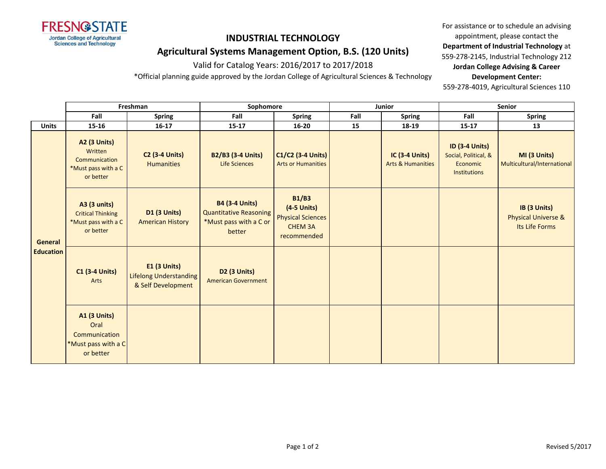

# **INDUSTRIAL TECHNOLOGY Agricultural Systems Management Option, B.S. (120 Units)**

Valid for Catalog Years: 2016/2017 to 2017/2018

\*Official planning guide approved by the Jordan College of Agricultural Sciences & Technology

For assistance or to schedule an advising appointment, please contact the **Department of Industrial Technology** at 559-278-2145, Industrial Technology 212 **Jordan College Advising & Career Development Center:**

559-278-4019, Agricultural Sciences 110

|                             | Freshman                                                                            |                                                                            | Sophomore                                                                                  |                                                                                            |      | Junior                                                | Senior                                                                           |                                                                  |  |
|-----------------------------|-------------------------------------------------------------------------------------|----------------------------------------------------------------------------|--------------------------------------------------------------------------------------------|--------------------------------------------------------------------------------------------|------|-------------------------------------------------------|----------------------------------------------------------------------------------|------------------------------------------------------------------|--|
|                             | Fall                                                                                | <b>Spring</b>                                                              | Fall                                                                                       | <b>Spring</b>                                                                              | Fall | <b>Spring</b>                                         | Fall                                                                             | <b>Spring</b>                                                    |  |
| <b>Units</b>                | $15 - 16$                                                                           | $16 - 17$                                                                  | $15 - 17$                                                                                  | $16 - 20$                                                                                  | 15   | 18-19                                                 | $15 - 17$                                                                        | 13                                                               |  |
| General<br><b>Education</b> | <b>A2 (3 Units)</b><br>Written<br>Communication<br>*Must pass with a C<br>or better | <b>C2 (3-4 Units)</b><br><b>Humanities</b>                                 | <b>B2/B3 (3-4 Units)</b><br>Life Sciences                                                  | C1/C2 (3-4 Units)<br><b>Arts or Humanities</b>                                             |      | <b>IC (3-4 Units)</b><br><b>Arts &amp; Humanities</b> | <b>ID (3-4 Units)</b><br>Social, Political, &<br>Economic<br><b>Institutions</b> | MI (3 Units)<br>Multicultural/International                      |  |
|                             | A3 (3 units)<br><b>Critical Thinking</b><br>*Must pass with a C<br>or better        | <b>D1 (3 Units)</b><br><b>American History</b>                             | <b>B4 (3-4 Units)</b><br><b>Quantitative Reasoning</b><br>*Must pass with a C or<br>better | <b>B1/B3</b><br>$(4-5$ Units)<br><b>Physical Sciences</b><br><b>CHEM 3A</b><br>recommended |      |                                                       |                                                                                  | IB (3 Units)<br><b>Physical Universe &amp;</b><br>Its Life Forms |  |
|                             | <b>C1 (3-4 Units)</b><br>Arts                                                       | <b>E1 (3 Units)</b><br><b>Lifelong Understanding</b><br>& Self Development | <b>D2 (3 Units)</b><br><b>American Government</b>                                          |                                                                                            |      |                                                       |                                                                                  |                                                                  |  |
|                             | <b>A1 (3 Units)</b><br>Oral<br>Communication<br>*Must pass with a C<br>or better    |                                                                            |                                                                                            |                                                                                            |      |                                                       |                                                                                  |                                                                  |  |